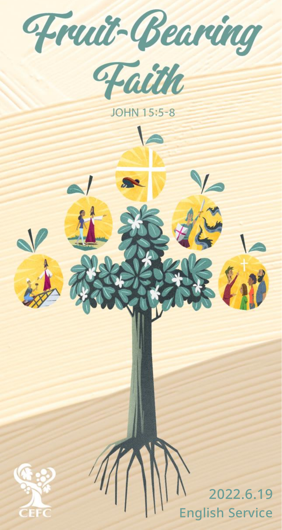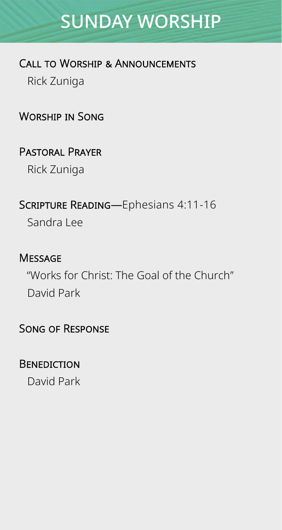# SUNDAY WORSHIP

#### Call to Worship & Announcements

Rick Zuniga

Worship in Song

Pastoral Prayer

Rick Zuniga

Scripture Reading—Ephesians 4:11-16 Sandra Lee

#### **MESSAGE**

"Works for Christ: The Goal of the Church" David Park

#### Song of Response

#### **BENEDICTION**

David Park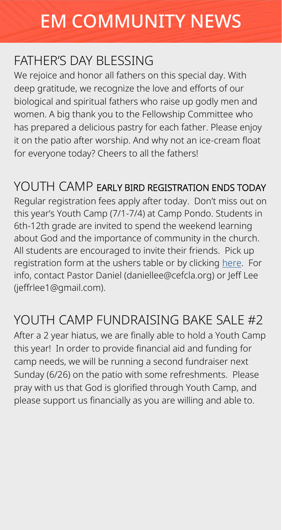# EM COMMUNITY NEWS

#### FATHER'S DAY BLESSING

We rejoice and honor all fathers on this special day. With deep gratitude, we recognize the love and efforts of our biological and spiritual fathers who raise up godly men and women. A big thank you to the Fellowship Committee who has prepared a delicious pastry for each father. Please enjoy it on the patio after worship. And why not an ice-cream float for everyone today? Cheers to all the fathers!

#### YOUTH CAMP EARLY BIRD REGISTRATION ENDS TODAY

Regular registration fees apply after today. Don't miss out on this year's Youth Camp (7/1-7/4) at Camp Pondo. Students in 6th-12th grade are invited to spend the weekend learning about God and the importance of community in the church. All students are encouraged to invite their friends. Pick up registration form at the ushers table or by clicking [here.](http://web.cefc.org/wp-app/wp-content/uploads/2022-YC-Registration-Form.pdf) For info, contact Pastor Daniel (daniellee@cefcla.org) or Jeff Lee (jeffrlee1@gmail.com).

#### YOUTH CAMP FUNDRAISING BAKE SALE #2

After a 2 year hiatus, we are finally able to hold a Youth Camp this year! In order to provide financial aid and funding for camp needs, we will be running a second fundraiser next Sunday (6/26) on the patio with some refreshments. Please pray with us that God is glorified through Youth Camp, and please support us financially as you are willing and able to.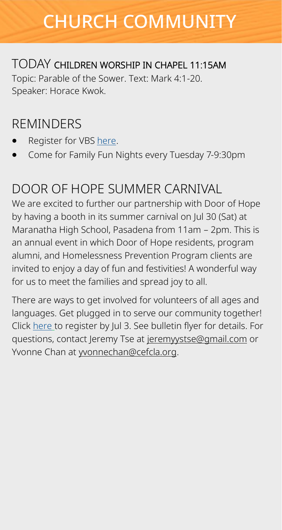# CHURCH COMMUNITY

#### TODAY CHILDREN WORSHIP IN CHAPEL 11:15AM

Topic: Parable of the Sower. Text: Mark 4:1-20. Speaker: Horace Kwok.

#### REMINDERS

- Register for VBS [here.](https://form.jotform.com/221357990557163)
- Come for Family Fun Nights every Tuesday 7-9:30pm

#### DOOR OF HOPE SUMMER CARNIVAL

We are excited to further our partnership with Door of Hope by having a booth in its summer carnival on Jul 30 (Sat) at Maranatha High School, Pasadena from 11am – 2pm. This is an annual event in which Door of Hope residents, program alumni, and Homelessness Prevention Program clients are invited to enjoy a day of fun and festivities! A wonderful way for us to meet the families and spread joy to all.

There are ways to get involved for volunteers of all ages and languages. Get plugged in to serve our community together! Click [here](https://forms.gle/VHPS3ehfZESuLvtPA) to register by Jul 3. See bulletin flyer for details. For questions, contact Jeremy Tse at [jeremyystse@gmail.com](mailto:jeremyystse@gmail.com) or Yvonne Chan at [yvonnechan@cefcla.org.](mailto:yvonnechan@cefcla.org)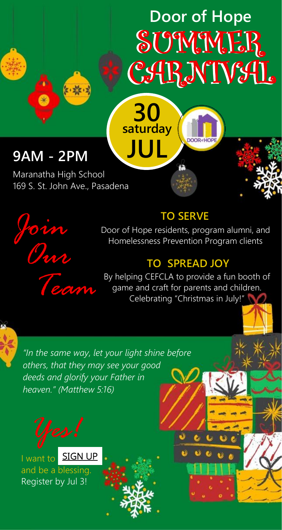# **SUMMER** CARNIVAL **Door of Hope**

**DOOR** 

#### **9AM - 2PM**

Maranatha High School 169 S. St. John Ave., Pasadena

人家·



#### **TO SERVE**

**saturday**

**30**

**JUL**

Door of Hope residents, program alumni, and Homelessness Prevention Program clients

#### **TO SPREAD JOY**

By helping CEFCLA to provide a fun booth of<br>game and craft for parents and children.<br>Celebrating "Christmas in July!" game and craft for parents and children. Celebrating "Christmas in July!"



b)

*"In the same way, let your light shine before others, that they may see your good deeds and glorify your Father in heaven." (Matthew 5:16)*



I want to **[SIGN UP](https://forms.gle/VHPS3ehfZESuLvtPA)** and be a blessing. Register by Jul 3!